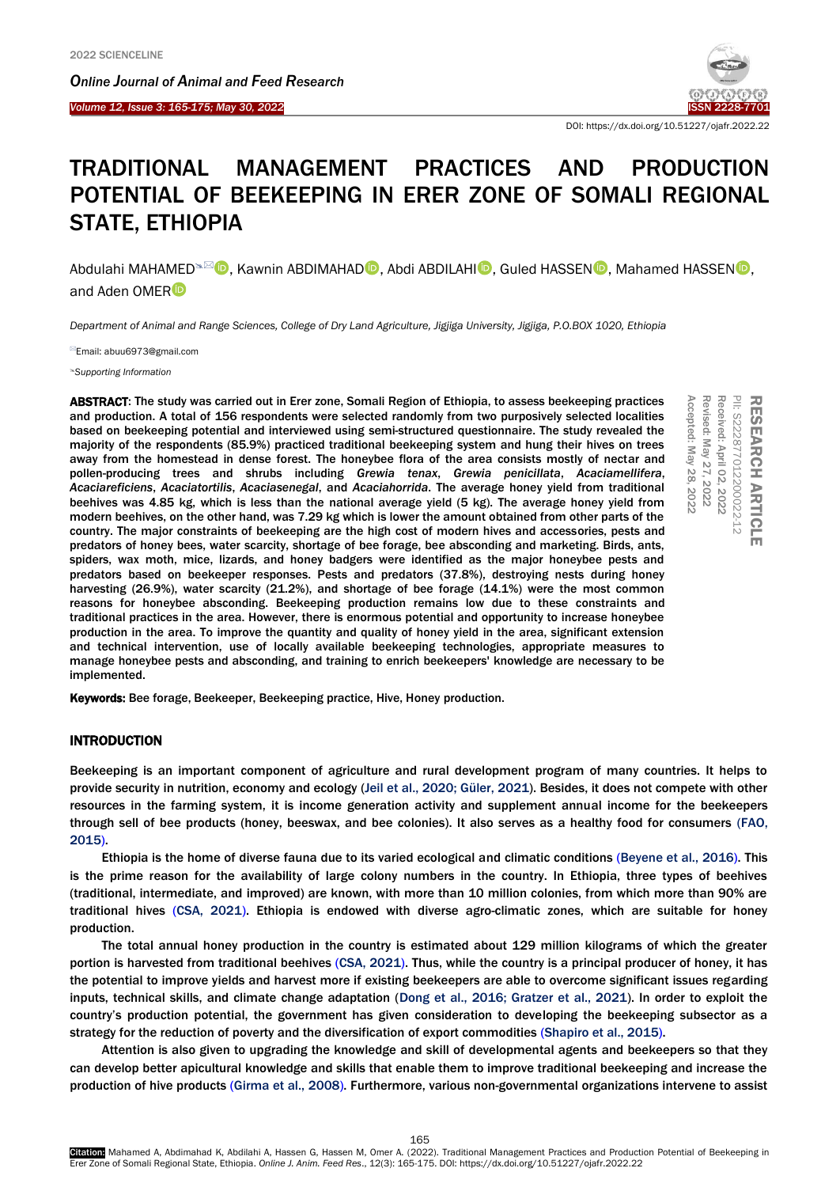Ī



DOI: https://dx.doi.org/10.51227/ojafr.2022.22

# TRADITIONAL MANAGEMENT PRACTICES AND PRODUCTION POTENTIAL OF BEEKEEPING IN ERER ZONE OF SOMALI REGIONAL STATE, ETHIOPIA

Abdulahi MAHAMED<sup>≤⊠</sup> (D. Kawnin ABDIMAHAD<sup>®</sup>, Abdi ABDILAHI<sup>®</sup>, Guled HASSEN ®, Mahamed HASSEN ®, and Aden OMER

*Department of Animal and Range Sciences, College of Dry Land Agriculture, Jigjiga University, Jigjiga, P.O.BOX 1020, Ethiopia*

Email[: abuu6973@gmail.com](mailto:abuu6973@gmail.com)

*[Supporting Information](#page-6-0)*

ABSTRACT: The study was carried out in Erer zone, Somali Region of Ethiopia, to assess beekeeping practices and production. A total of 156 respondents were selected randomly from two purposively selected localities based on beekeeping potential and interviewed using semi-structured questionnaire. The study revealed the majority of the respondents (85.9%) practiced traditional beekeeping system and hung their hives on trees away from the homestead in dense forest. The honeybee flora of the area consists mostly of nectar and pollen-producing trees and shrubs including *Grewia tenax*, *Grewia penicillata*, *Acaciamellifera*, *Acaciareficiens*, *Acaciatortilis*, *Acaciasenegal*, and *Acaciahorrida*. The average honey yield from traditional beehives was 4.85 kg, which is less than the national average yield (5 kg). The average honey yield from modern beehives, on the other hand, was 7.29 kg which is lower the amount obtained from other parts of the country. The major constraints of beekeeping are the high cost of modern hives and accessories, pests and predators of honey bees, water scarcity, shortage of bee forage, bee absconding and marketing. Birds, ants, spiders, wax moth, mice, lizards, and honey badgers were identified as the major honeybee pests and predators based on beekeeper responses. Pests and predators (37.8%), destroying nests during honey harvesting (26.9%), water scarcity (21.2%), and shortage of bee forage (14.1%) were the most common reasons for honeybee absconding. Beekeeping production remains low due to these constraints and traditional practices in the area. However, there is enormous potential and opportunity to increase honeybee production in the area. To improve the quantity and quality of honey yield in the area, significant extension and technical intervention, use of locally available beekeeping technologies, appropriate measures to manage honeybee pests and absconding, and training to enrich beekeepers' knowledge are necessary to be implemented. **ABSTRACH: The study was carried out in Fer zone, Somali Region of Ethiopia, to assess beekeeping practices<br>
and production. A total of 156 respondents were selected randomly from two purposively selected localities<br>
based** 

# **INTRODUCTION**

Beekeeping is an important component of agriculture and rural development program of many countries. It helps to provide security in nutrition, economy and ecology [\(Jeil et al., 2020;](#page-6-1) [Güler, 2021\)](#page-6-2). Besides, it does not compete with other resources in the farming system, it is income generation activity and supplement annual income for the beekeepers through sell of bee products (honey, beeswax, and bee colonies). It also serves as a healthy food for consumers [\(FAO,](#page-6-3)  [2015\).](#page-6-3)

Ethiopia is the home of diverse fauna due to its varied ecological and climatic conditions [\(Beyene et al., 2016\).](#page-6-4) This is the prime reason for the availability of large colony numbers in the country. In Ethiopia, three types of beehives (traditional, intermediate, and improved) are known, with more than 10 million colonies, from which more than 90% are traditional hives [\(CSA, 2021\).](#page-6-5) Ethiopia is endowed with diverse agro-climatic zones, which are suitable for honey production.

The total annual honey production in the country is estimated about 129 million kilograms of which the greater portion is harvested from traditional beehives [\(CSA, 2021\).](#page-6-5) Thus, while the country is a principal producer of honey, it has the potential to improve yields and harvest more if existing beekeepers are able to overcome significant issues regarding inputs, technical skills, and climate change adaptation [\(Dong et al., 2016;](#page-6-6) [Gratzer et al., 2021\)](#page-6-7). In order to exploit the country's production potential, the government has given consideration to developing the beekeeping subsector as a strategy for the reduction of poverty and the diversification of export commodities [\(Shapiro et al.,](#page-6-8) 2015).

Attention is also given to upgrading the knowledge and skill of developmental agents and beekeepers so that they can develop better apicultural knowledge and skills that enable them to improve traditional beekeeping and increase the production of hive products [\(Girma et al.,](#page-6-9) 2008). Furthermore, various non-governmental organizations intervene to assist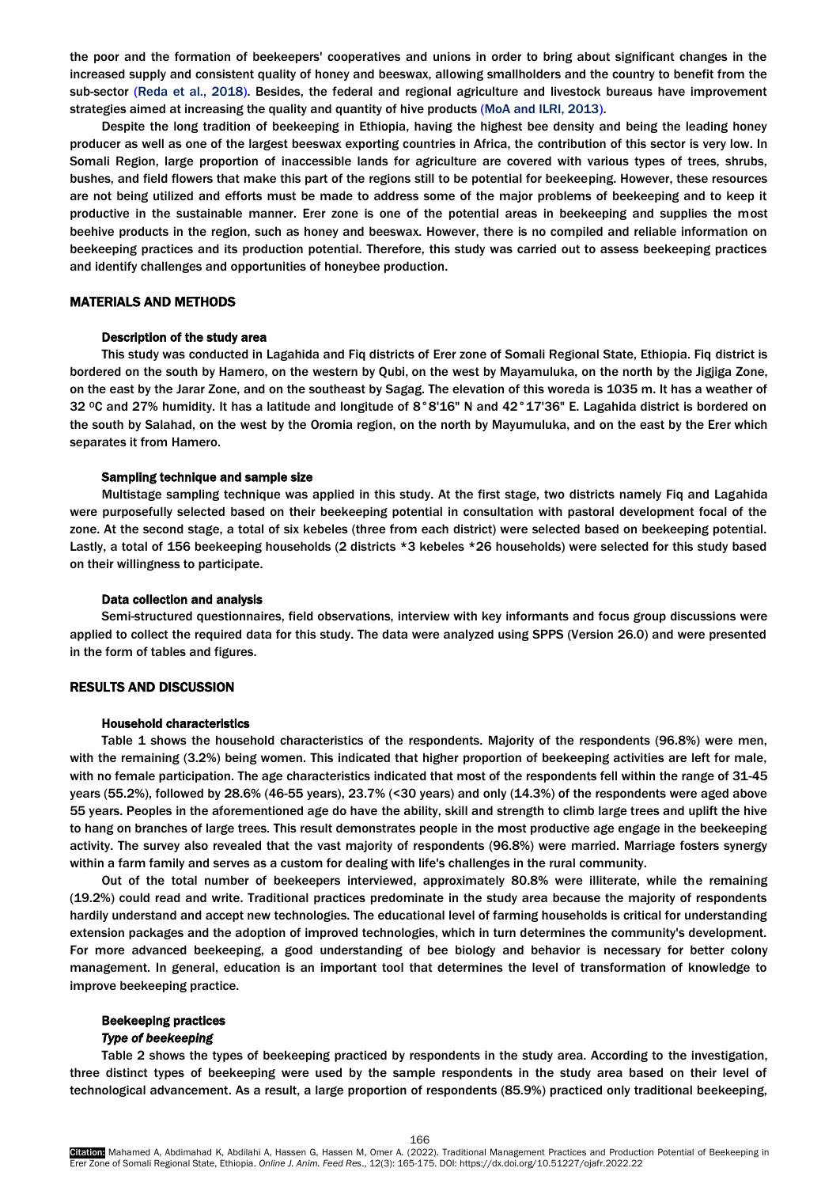the poor and the formation of beekeepers' cooperatives and unions in order to bring about significant changes in the increased supply and consistent quality of honey and beeswax, allowing smallholders and the country to benefit from the sub-sector [\(Reda et al., 2018\).](#page-6-10) Besides, the federal and regional agriculture and livestock bureaus have improvement strategies aimed at increasing the quality and quantity of hive products [\(MoA and ILRI, 2013\).](#page-6-11)

Despite the long tradition of beekeeping in Ethiopia, having the highest bee density and being the leading honey producer as well as one of the largest beeswax exporting countries in Africa, the contribution of this sector is very low. In Somali Region, large proportion of inaccessible lands for agriculture are covered with various types of trees, shrubs, bushes, and field flowers that make this part of the regions still to be potential for beekeeping. However, these resources are not being utilized and efforts must be made to address some of the major problems of beekeeping and to keep it productive in the sustainable manner. Erer zone is one of the potential areas in beekeeping and supplies the most beehive products in the region, such as honey and beeswax. However, there is no compiled and reliable information on beekeeping practices and its production potential. Therefore, this study was carried out to assess beekeeping practices and identify challenges and opportunities of honeybee production.

# MATERIALS AND METHODS

#### Description of the study area

This study was conducted in Lagahida and Fiq districts of Erer zone of Somali Regional State, Ethiopia. Fiq district is bordered on the south by Hamero, on the western by Qubi, on the west by Mayamuluka, on the north by the Jigjiga Zone, on the east by the Jarar Zone, and on the southeast by Sagag. The elevation of this woreda is 1035 m. It has a weather of 32 °C and 27% humidity. It has a latitude and longitude of 8°8'16" N and 42°17'36" E. Lagahida district is bordered on the south by Salahad, on the west by the Oromia region, on the north by Mayumuluka, and on the east by the Erer which separates it from Hamero.

#### Sampling technique and sample size

Multistage sampling technique was applied in this study. At the first stage, two districts namely Fiq and Lagahida were purposefully selected based on their beekeeping potential in consultation with pastoral development focal of the zone. At the second stage, a total of six kebeles (three from each district) were selected based on beekeeping potential. Lastly, a total of 156 beekeeping households (2 districts \*3 kebeles \*26 households) were selected for this study based on their willingness to participate.

#### Data collection and analysis

Semi-structured questionnaires, field observations, interview with key informants and focus group discussions were applied to collect the required data for this study. The data were analyzed using SPPS (Version 26.0) and were presented in the form of tables and figures.

# RESULTS AND DISCUSSION

#### Household characteristics

Table 1 shows the household characteristics of the respondents. Majority of the respondents (96.8%) were men, with the remaining (3.2%) being women. This indicated that higher proportion of beekeeping activities are left for male, with no female participation. The age characteristics indicated that most of the respondents fell within the range of 31-45 years (55.2%), followed by 28.6% (46-55 years), 23.7% (<30 years) and only (14.3%) of the respondents were aged above 55 years. Peoples in the aforementioned age do have the ability, skill and strength to climb large trees and uplift the hive to hang on branches of large trees. This result demonstrates people in the most productive age engage in the beekeeping activity. The survey also revealed that the vast majority of respondents (96.8%) were married. Marriage fosters synergy within a farm family and serves as a custom for dealing with life's challenges in the rural community.

Out of the total number of beekeepers interviewed, approximately 80.8% were illiterate, while the remaining (19.2%) could read and write. Traditional practices predominate in the study area because the majority of respondents hardily understand and accept new technologies. The educational level of farming households is critical for understanding extension packages and the adoption of improved technologies, which in turn determines the community's development. For more advanced beekeeping, a good understanding of bee biology and behavior is necessary for better colony management. In general, education is an important tool that determines the level of transformation of knowledge to improve beekeeping practice.

# Beekeeping practices

# *Type of beekeeping*

Table 2 shows the types of beekeeping practiced by respondents in the study area. According to the investigation, three distinct types of beekeeping were used by the sample respondents in the study area based on their level of technological advancement. As a result, a large proportion of respondents (85.9%) practiced only traditional beekeeping,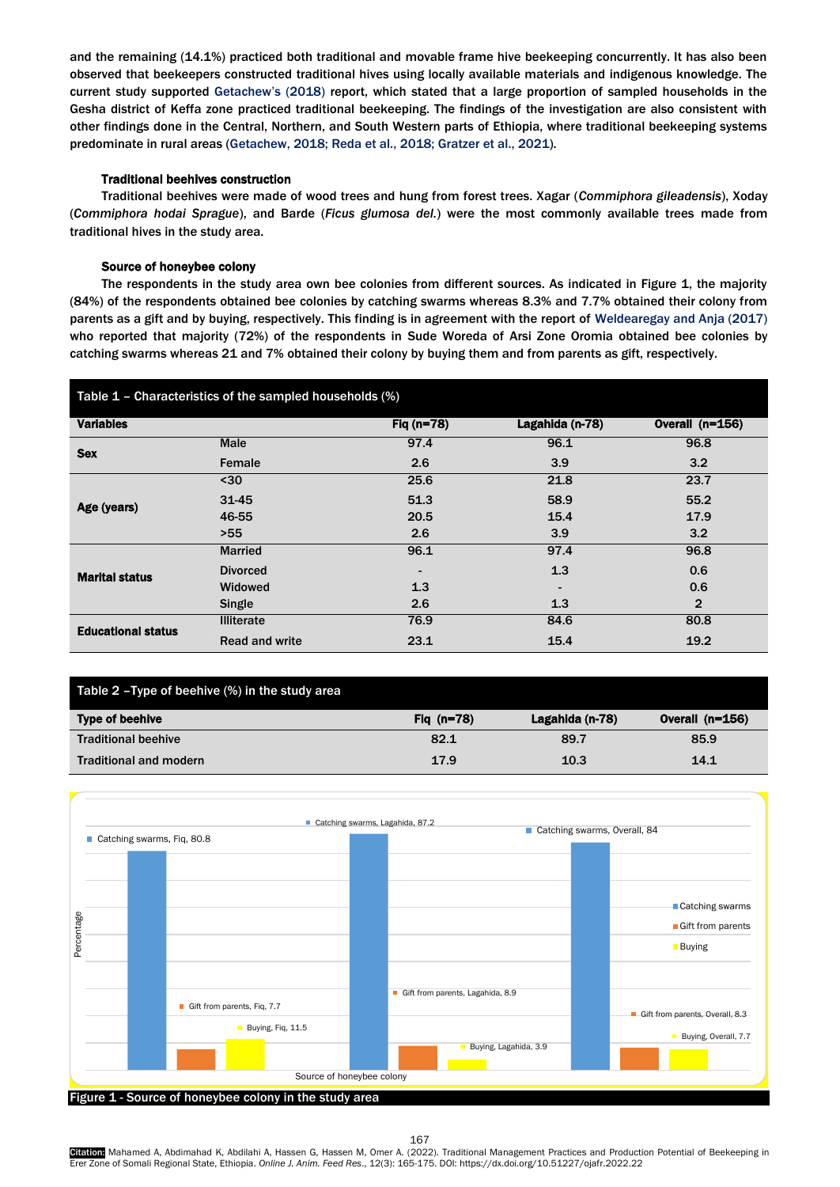and the remaining (14.1%) practiced both traditional and movable frame hive beekeeping concurrently. It has also been observed that beekeepers constructed traditional hives using locally available materials and indigenous knowledge. The current study supported [Getachew](#page-6-12)'s (2018) report, which stated that a large proportion of sampled households in the Gesha district of Keffa zone practiced traditional beekeeping. The findings of the investigation are also consistent with other findings done in the Central, Northern, and South Western parts of Ethiopia, where traditional beekeeping systems predominate in rural areas [\(Getachew, 2018;](#page-6-12) [Reda et al., 2018;](#page-6-10) [Gratzer et al., 2021\)](#page-6-7).

# Traditional beehives construction

Traditional beehives were made of wood trees and hung from forest trees. Xagar (*Commiphora gileadensis*), Xoday (*Commiphora hodai Sprague*), and Barde (*Ficus glumosa del.*) were the most commonly available trees made from traditional hives in the study area.

# Source of honeybee colony

The respondents in the study area own bee colonies from different sources. As indicated in Figure 1, the majority (84%) of the respondents obtained bee colonies by catching swarms whereas 8.3% and 7.7% obtained their colony from parents as a gift and by buying, respectively. This finding is in agreement with the report of [Weldearegay and Anja \(2017\)](#page-7-0) who reported that majority (72%) of the respondents in Sude Woreda of Arsi Zone Oromia obtained bee colonies by catching swarms whereas 21 and 7% obtained their colony by buying them and from parents as gift, respectively.

| Table 1 - Characteristics of the sampled households (%) |                       |                          |                 |                 |  |
|---------------------------------------------------------|-----------------------|--------------------------|-----------------|-----------------|--|
| <b>Variables</b>                                        |                       | Fig $(n=78)$             | Lagahida (n-78) | Overall (n=156) |  |
| <b>Sex</b>                                              | Male                  | 97.4                     | 96.1            | 96.8            |  |
|                                                         | Female                | 2.6                      | 3.9             | 3.2             |  |
| Age (years)                                             | $30$                  | 25.6                     | 21.8            | 23.7            |  |
|                                                         | 31-45                 | 51.3                     | 58.9            | 55.2            |  |
|                                                         | 46-55                 | 20.5                     | 15.4            | 17.9            |  |
|                                                         | >55                   | 2.6                      | 3.9             | 3.2             |  |
| <b>Marital status</b>                                   | <b>Married</b>        | 96.1                     | 97.4            | 96.8            |  |
|                                                         | <b>Divorced</b>       | $\overline{\phantom{a}}$ | 1.3             | 0.6             |  |
|                                                         | <b>Widowed</b>        | 1.3                      | $\blacksquare$  | 0.6             |  |
|                                                         | Single                | 2.6                      | 1.3             | $\mathbf{2}$    |  |
| <b>Educational status</b>                               | <b>Illiterate</b>     | 76.9                     | 84.6            | 80.8            |  |
|                                                         | <b>Read and write</b> | 23.1                     | 15.4            | 19.2            |  |

| Table 2 - Type of beehive (%) in the study area |              |                 |                   |  |  |
|-------------------------------------------------|--------------|-----------------|-------------------|--|--|
| Type of beehive                                 | Fig $(n=78)$ | Lagahida (n-78) | Overall $(n=156)$ |  |  |
| <b>Traditional beehive</b>                      | 82.1         | 89.7            | 85.9              |  |  |
| <b>Traditional and modern</b>                   | 17.9         | 10.3            | 14.1              |  |  |



167

Citation: Mahamed A, Abdimahad K, Abdilahi A, Hassen G, Hassen M, Omer A. (2022). Traditional Management Practices and Production Potential of Beekeeping in Erer Zone of Somali Regional State, Ethiopia. *Online J. Anim. Feed Res*., 12(3): 165-175. DOI: https://dx.doi.org/10.51227/ojafr.2022.22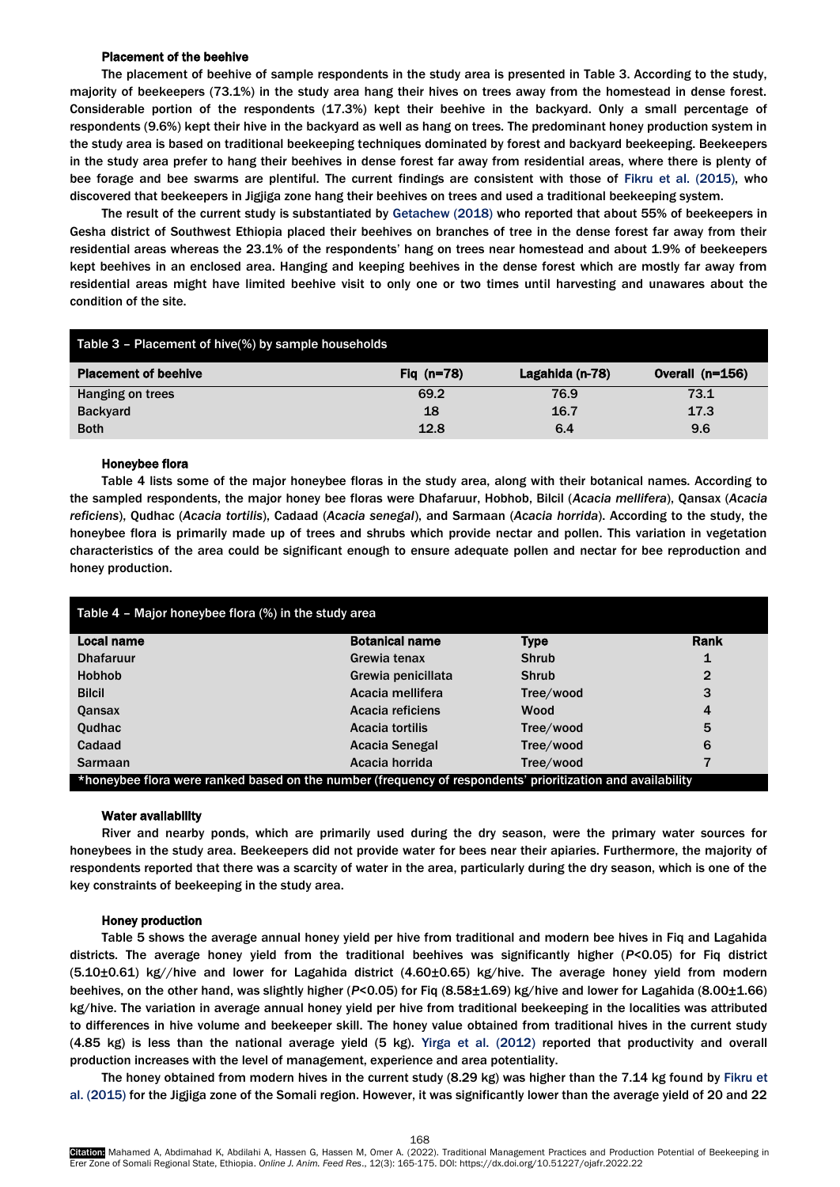## Placement of the beehive

The placement of beehive of sample respondents in the study area is presented in Table 3. According to the study, majority of beekeepers (73.1%) in the study area hang their hives on trees away from the homestead in dense forest. Considerable portion of the respondents (17.3%) kept their beehive in the backyard. Only a small percentage of respondents (9.6%) kept their hive in the backyard as well as hang on trees. The predominant honey production system in the study area is based on traditional beekeeping techniques dominated by forest and backyard beekeeping. Beekeepers in the study area prefer to hang their beehives in dense forest far away from residential areas, where there is plenty of bee forage and bee swarms are plentiful. The current findings are consistent with those of [Fikru et al.](#page-6-13) (2015), who discovered that beekeepers in Jigjiga zone hang their beehives on trees and used a traditional beekeeping system.

The result of the current study is substantiated by [Getachew \(2018\)](#page-6-12) who reported that about 55% of beekeepers in Gesha district of Southwest Ethiopia placed their beehives on branches of tree in the dense forest far away from their residential areas whereas the 23.1% of the respondents' hang on trees near homestead and about 1.9% of beekeepers kept beehives in an enclosed area. Hanging and keeping beehives in the dense forest which are mostly far away from residential areas might have limited beehive visit to only one or two times until harvesting and unawares about the condition of the site.

| Table 3 - Placement of hive(%) by sample households |              |                 |                   |
|-----------------------------------------------------|--------------|-----------------|-------------------|
| <b>Placement of beehive</b>                         | Fig $(n=78)$ | Lagahida (n-78) | Overall $(n=156)$ |
| Hanging on trees                                    | 69.2         | 76.9            | 73.1              |
| <b>Backyard</b>                                     | 18           | 16.7            | 17.3              |
| <b>Both</b>                                         | 12.8         | 6.4             | 9.6               |

# Honeybee flora

Table 4 lists some of the major honeybee floras in the study area, along with their botanical names. According to the sampled respondents, the major honey bee floras were Dhafaruur, Hobhob, Bilcil (*Acacia mellifera*), Qansax (*Acacia reficiens*), Qudhac (*Acacia tortilis*), Cadaad (*Acacia senegal*), and Sarmaan (*Acacia horrida*). According to the study, the honeybee flora is primarily made up of trees and shrubs which provide nectar and pollen. This variation in vegetation characteristics of the area could be significant enough to ensure adequate pollen and nectar for bee reproduction and honey production.

| Table $4$ – Major honeybee flora $%$ in the study area                                                     |                        |              |             |  |
|------------------------------------------------------------------------------------------------------------|------------------------|--------------|-------------|--|
| Local name                                                                                                 | <b>Botanical name</b>  | <b>Type</b>  | <b>Rank</b> |  |
| <b>Dhafaruur</b>                                                                                           | Grewia tenax           | <b>Shrub</b> | 1           |  |
| <b>Hobhob</b>                                                                                              | Grewia penicillata     | <b>Shrub</b> | 2           |  |
| <b>Bilcil</b>                                                                                              | Acacia mellifera       | Tree/wood    | 3           |  |
| Qansax                                                                                                     | Acacia reficiens       | Wood         | 4           |  |
| Qudhac                                                                                                     | <b>Acacia tortilis</b> | Tree/wood    | 5           |  |
| Cadaad                                                                                                     | Acacia Senegal         | Tree/wood    | 6           |  |
| <b>Sarmaan</b>                                                                                             | Acacia horrida         | Tree/wood    | 7           |  |
| *honeybee flora were ranked based on the number (frequency of respondents' prioritization and availability |                        |              |             |  |

# Water availability

River and nearby ponds, which are primarily used during the dry season, were the primary water sources for honeybees in the study area. Beekeepers did not provide water for bees near their apiaries. Furthermore, the majority of respondents reported that there was a scarcity of water in the area, particularly during the dry season, which is one of the key constraints of beekeeping in the study area.

#### Honey production

Table 5 shows the average annual honey yield per hive from traditional and modern bee hives in Fiq and Lagahida districts. The average honey yield from the traditional beehives was significantly higher (*P*<0.05) for Fiq district (5.10±0.61) kg//hive and lower for Lagahida district (4.60±0.65) kg/hive. The average honey yield from modern beehives, on the other hand, was slightly higher (*P*<0.05) for Fiq (8.58±1.69) kg/hive and lower for Lagahida (8.00±1.66) kg/hive. The variation in average annual honey yield per hive from traditional beekeeping in the localities was attributed to differences in hive volume and beekeeper skill. The honey value obtained from traditional hives in the current study (4.85 kg) is less than the national average yield (5 kg). Yirga et al. [\(2012\)](#page-7-1) reported that productivity and overall production increases with the level of management, experience and area potentiality.

The honey obtained from modern hives in the current study (8.29 kg) was higher than the 7.14 kg found by [Fikru et](#page-6-13)  [al. \(2015\)](#page-6-13) for the Jigjiga zone of the Somali region. However, it was significantly lower than the average yield of 20 and 22

168 **Citation:** Mahamed A, Abdimahad K, Abdilahi A, Hassen G, Hassen M, Omer A. (2022). Traditional Management Practices and Production Potential of Beekeeping in Erer Zone of Somali Regional State, Ethiopia. *Online J. Anim. Feed Res*., 12(3): 165-175. DOI: https://dx.doi.org/10.51227/ojafr.2022.22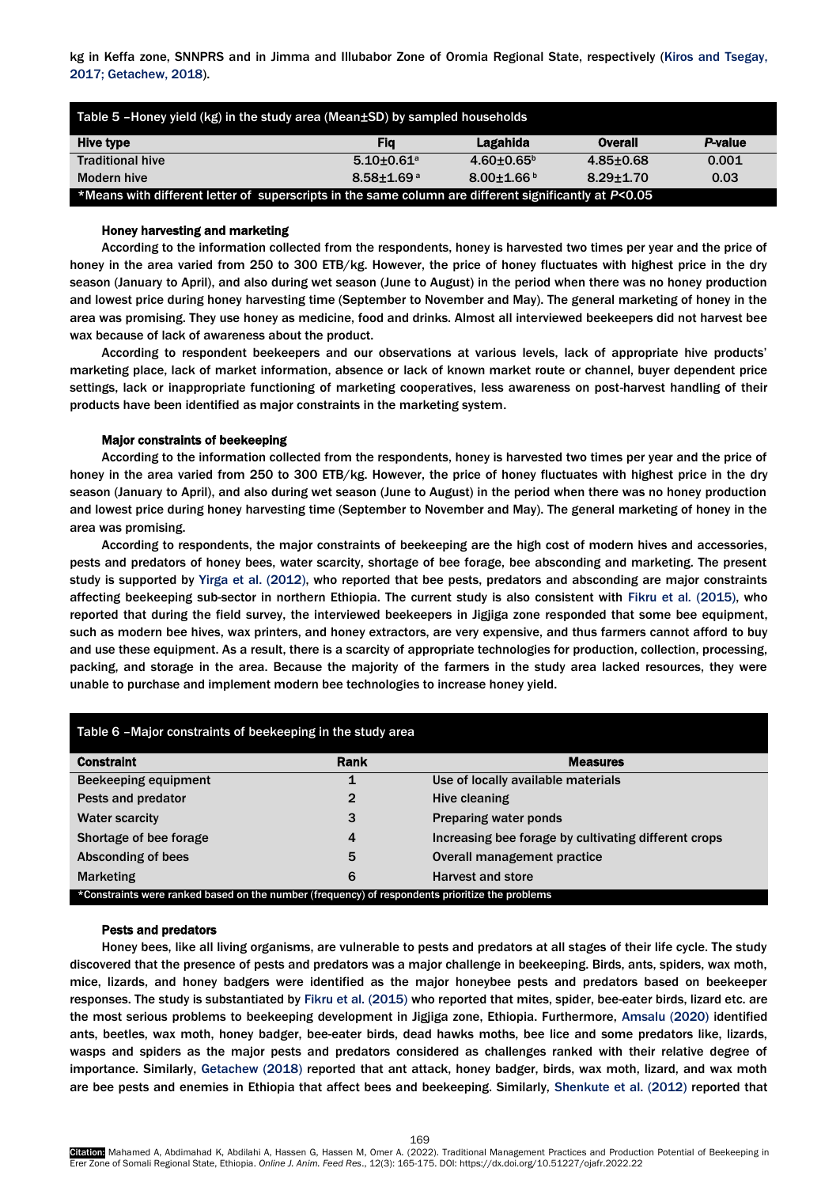kg in Keffa zone, SNNPRS and in Jimma and Illubabor Zone of Oromia Regional State, respectively [\(Kiros and Tsegay,](#page-6-14)  [2017;](#page-6-14) [Getachew, 2018\)](#page-6-12).

| Table 5 -Honey yield $(kg)$ in the study area (Mean $\pm$ SD) by sampled households                   |                            |                 |               |                |
|-------------------------------------------------------------------------------------------------------|----------------------------|-----------------|---------------|----------------|
| Hive type                                                                                             | Fia                        | Lagahida        | Overall       | <b>P-value</b> |
| <b>Traditional hive</b>                                                                               | $5.10+0.61a$               | $4.60 + 0.65^b$ | $4.85 + 0.68$ | 0.001          |
| Modern hive                                                                                           | $8.58 + 1.69$ <sup>a</sup> | $8.00 + 1.66$   | $8.29 + 1.70$ | 0.03           |
| *Means with different letter of superscripts in the same column are different significantly at P<0.05 |                            |                 |               |                |

# Honey harvesting and marketing

According to the information collected from the respondents, honey is harvested two times per year and the price of honey in the area varied from 250 to 300 ETB/kg. However, the price of honey fluctuates with highest price in the dry season (January to April), and also during wet season (June to August) in the period when there was no honey production and lowest price during honey harvesting time (September to November and May). The general marketing of honey in the area was promising. They use honey as medicine, food and drinks. Almost all interviewed beekeepers did not harvest bee wax because of lack of awareness about the product.

According to respondent beekeepers and our observations at various levels, lack of appropriate hive products' marketing place, lack of market information, absence or lack of known market route or channel, buyer dependent price settings, lack or inappropriate functioning of marketing cooperatives, less awareness on post-harvest handling of their products have been identified as major constraints in the marketing system.

#### Major constraints of beekeeping

According to the information collected from the respondents, honey is harvested two times per year and the price of honey in the area varied from 250 to 300 ETB/kg. However, the price of honey fluctuates with highest price in the dry season (January to April), and also during wet season (June to August) in the period when there was no honey production and lowest price during honey harvesting time (September to November and May). The general marketing of honey in the area was promising.

According to respondents, the major constraints of beekeeping are the high cost of modern hives and accessories, pests and predators of honey bees, water scarcity, shortage of bee forage, bee absconding and marketing. The present study is supported by Yirga [et al. \(2012\),](#page-7-1) who reported that bee pests, predators and absconding are major constraints affecting beekeeping sub-sector in northern Ethiopia. The current study is also consistent with [Fikru et al](#page-6-13)*.* (2015), who reported that during the field survey, the interviewed beekeepers in Jigjiga zone responded that some bee equipment, such as modern bee hives, wax printers, and honey extractors, are very expensive, and thus farmers cannot afford to buy and use these equipment. As a result, there is a scarcity of appropriate technologies for production, collection, processing, packing, and storage in the area. Because the majority of the farmers in the study area lacked resources, they were unable to purchase and implement modern bee technologies to increase honey yield.

| Table 6 - Major constraints of beekeeping in the study area                                     |      |                                                      |  |  |
|-------------------------------------------------------------------------------------------------|------|------------------------------------------------------|--|--|
| <b>Constraint</b>                                                                               | Rank | <b>Measures</b>                                      |  |  |
| Beekeeping equipment                                                                            |      | Use of locally available materials                   |  |  |
| Pests and predator                                                                              | 2    | Hive cleaning                                        |  |  |
| <b>Water scarcity</b>                                                                           | 3    | <b>Preparing water ponds</b>                         |  |  |
| Shortage of bee forage                                                                          | 4    | Increasing bee forage by cultivating different crops |  |  |
| Absconding of bees                                                                              | 5    | Overall management practice                          |  |  |
| <b>Marketing</b>                                                                                | 6    | Harvest and store                                    |  |  |
| *Constraints were ranked based on the number (frequency) of respondents prioritize the problems |      |                                                      |  |  |

#### Pests and predators

Honey bees, like all living organisms, are vulnerable to pests and predators at all stages of their life cycle. The study discovered that the presence of pests and predators was a major challenge in beekeeping. Birds, ants, spiders, wax moth, mice, lizards, and honey badgers were identified as the major honeybee pests and predators based on beekeeper responses. The study is substantiated by [Fikru et al. \(2015\)](#page-6-13) who reported that mites, spider, bee-eater birds, lizard etc. are the most serious problems to beekeeping development in Jigjiga zone, Ethiopia. Furthermore, [Amsalu \(2020\)](#page-6-15) identified ants, beetles, wax moth, honey badger, bee-eater birds, dead hawks moths, bee lice and some predators like, lizards, wasps and spiders as the major pests and predators considered as challenges ranked with their relative degree of importance. Similarly, [Getachew \(2018\)](#page-6-12) reported that ant attack, honey badger, birds, wax moth, lizard, and wax moth are bee pests and enemies in Ethiopia that affect bees and beekeeping. Similarly, [Shenkute et al.](#page-7-2) (2012) reported that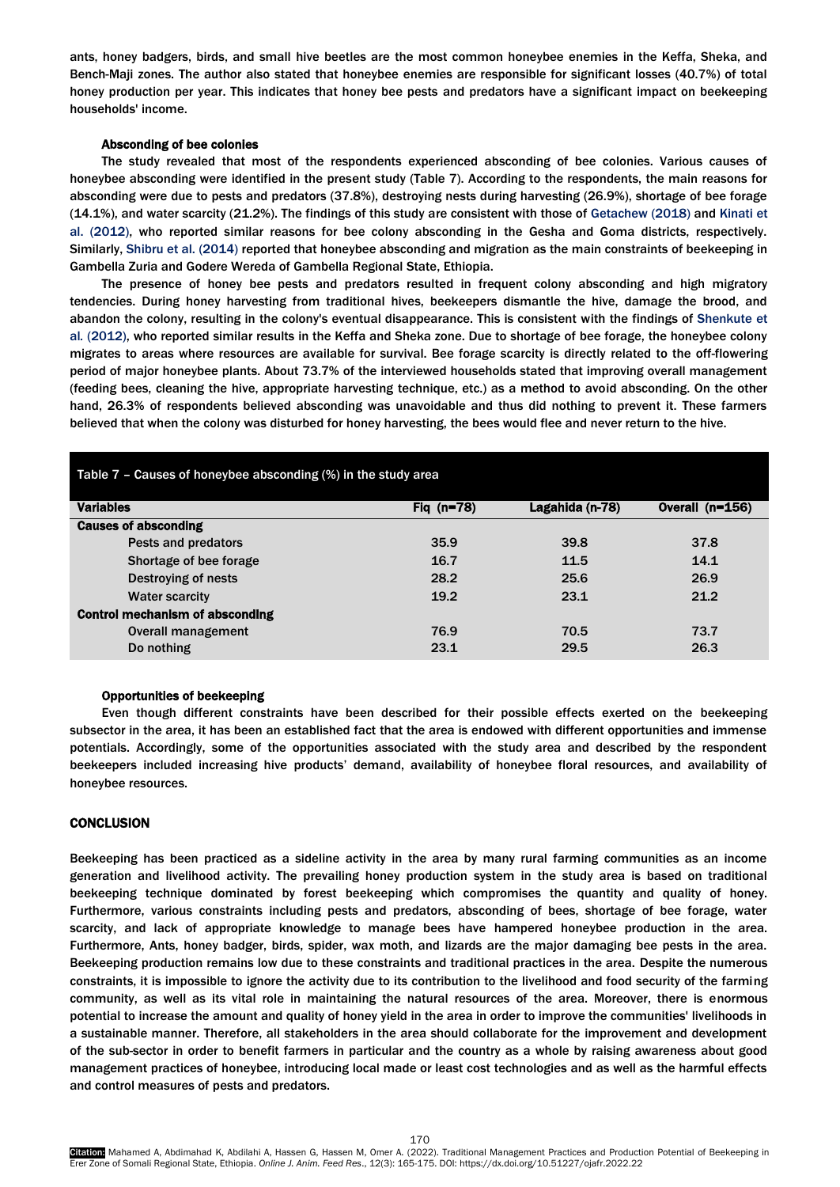ants, honey badgers, birds, and small hive beetles are the most common honeybee enemies in the Keffa, Sheka, and Bench-Maji zones. The author also stated that honeybee enemies are responsible for significant losses (40.7%) of total honey production per year. This indicates that honey bee pests and predators have a significant impact on beekeeping households' income.

# Absconding of bee colonies

The study revealed that most of the respondents experienced absconding of bee colonies. Various causes of honeybee absconding were identified in the present study (Table 7). According to the respondents, the main reasons for absconding were due to pests and predators (37.8%), destroying nests during harvesting (26.9%), shortage of bee forage (14.1%), and water scarcity (21.2%). The findings of this study are consistent with those of [Getachew \(2018\)](#page-6-12) and [Kinati](#page-6-16) et [al. \(2012\),](#page-6-16) who reported similar reasons for bee colony absconding in the Gesha and Goma districts, respectively. Similarly[, Shibru et al.](#page-7-3) (2014) reported that honeybee absconding and migration as the main constraints of beekeeping in Gambella Zuria and Godere Wereda of Gambella Regional State, Ethiopia.

The presence of honey bee pests and predators resulted in frequent colony absconding and high migratory tendencies. During honey harvesting from traditional hives, beekeepers dismantle the hive, damage the brood, and abandon the colony, resulting in the colony's eventual disappearance. This is consistent with the findings of [Shenkute et](#page-7-2)  al*.* [\(2012\),](#page-7-2) who reported similar results in the Keffa and Sheka zone. Due to shortage of bee forage, the honeybee colony migrates to areas where resources are available for survival. Bee forage scarcity is directly related to the off-flowering period of major honeybee plants. About 73.7% of the interviewed households stated that improving overall management (feeding bees, cleaning the hive, appropriate harvesting technique, etc.) as a method to avoid absconding. On the other hand, 26.3% of respondents believed absconding was unavoidable and thus did nothing to prevent it. These farmers believed that when the colony was disturbed for honey harvesting, the bees would flee and never return to the hive.

| Table $7$ – Causes of honeybee absconding $%$ in the study area |              |                 |                 |  |  |
|-----------------------------------------------------------------|--------------|-----------------|-----------------|--|--|
| <b>Variables</b>                                                | Fig $(n=78)$ | Lagahida (n-78) | Overall (n=156) |  |  |
| <b>Causes of absconding</b>                                     |              |                 |                 |  |  |
| Pests and predators                                             | 35.9         | 39.8            | 37.8            |  |  |
| Shortage of bee forage                                          | 16.7         | 11.5            | 14.1            |  |  |
| Destroying of nests                                             | 28.2         | 25.6            | 26.9            |  |  |
| <b>Water scarcity</b>                                           | 19.2         | 23.1            | 21.2            |  |  |
| <b>Control mechanism of absconding</b>                          |              |                 |                 |  |  |
| Overall management                                              | 76.9         | 70.5            | 73.7            |  |  |
| Do nothing                                                      | 23.1         | 29.5            | 26.3            |  |  |

#### Opportunities of beekeeping

Even though different constraints have been described for their possible effects exerted on the beekeeping subsector in the area, it has been an established fact that the area is endowed with different opportunities and immense potentials. Accordingly, some of the opportunities associated with the study area and described by the respondent beekeepers included increasing hive products' demand, availability of honeybee floral resources, and availability of honeybee resources.

# **CONCLUSION**

Beekeeping has been practiced as a sideline activity in the area by many rural farming communities as an income generation and livelihood activity. The prevailing honey production system in the study area is based on traditional beekeeping technique dominated by forest beekeeping which compromises the quantity and quality of honey. Furthermore, various constraints including pests and predators, absconding of bees, shortage of bee forage, water scarcity, and lack of appropriate knowledge to manage bees have hampered honeybee production in the area. Furthermore, Ants, honey badger, birds, spider, wax moth, and lizards are the major damaging bee pests in the area. Beekeeping production remains low due to these constraints and traditional practices in the area. Despite the numerous constraints, it is impossible to ignore the activity due to its contribution to the livelihood and food security of the farming community, as well as its vital role in maintaining the natural resources of the area. Moreover, there is enormous potential to increase the amount and quality of honey yield in the area in order to improve the communities' livelihoods in a sustainable manner. Therefore, all stakeholders in the area should collaborate for the improvement and development of the sub-sector in order to benefit farmers in particular and the country as a whole by raising awareness about good management practices of honeybee, introducing local made or least cost technologies and as well as the harmful effects and control measures of pests and predators.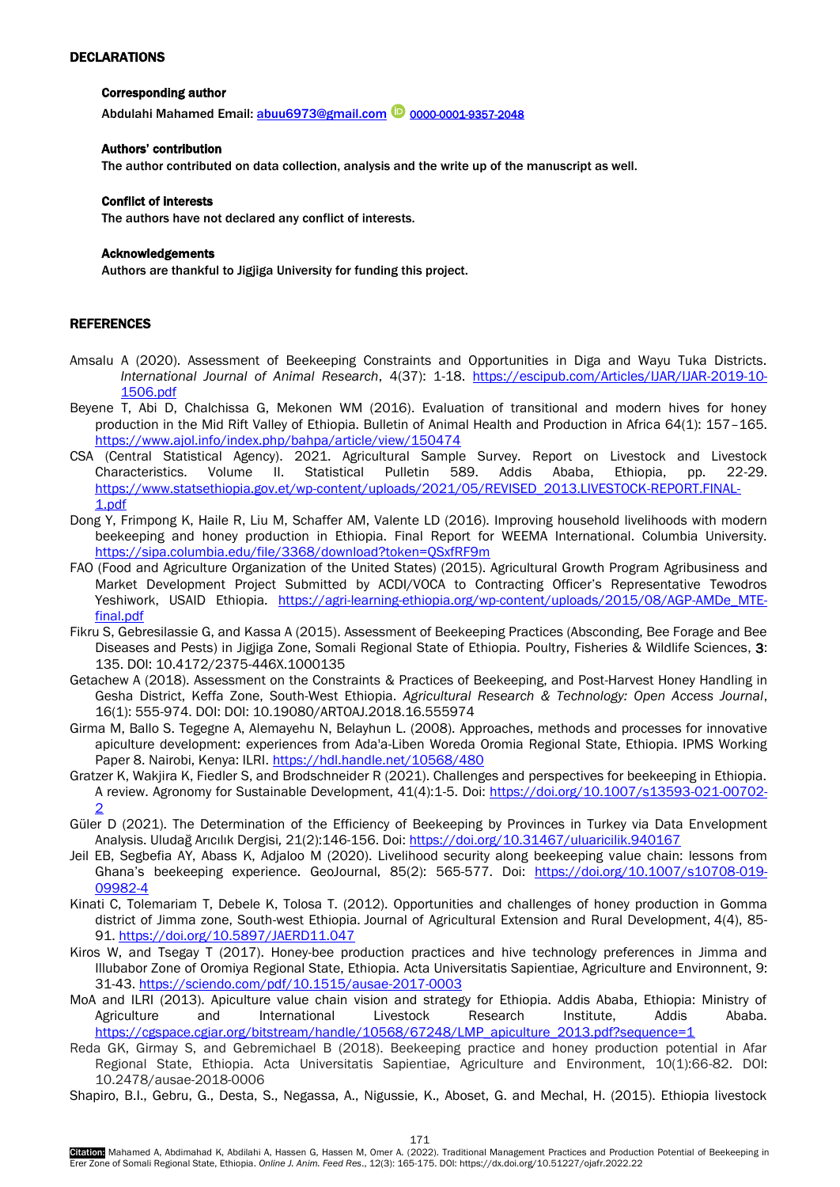# <span id="page-6-0"></span>DECLARATIONS

# Corresponding author

Abdulahi Mahamed Email: [abuu6973@gmail.com](mailto:abuu6973@gmail.com) <sup>10</sup>[0000-0001-9357-2048](https://orcid.org/0000-0001-9357-2048)

## Authors' contribution

The author contributed on data collection, analysis and the write up of the manuscript as well.

## Conflict of interests

The authors have not declared any conflict of interests.

# Acknowledgements

Authors are thankful to Jigjiga University for funding this project.

# **REFERENCES**

- <span id="page-6-15"></span>Amsalu A (2020). Assessment of Beekeeping Constraints and Opportunities in Diga and Wayu Tuka Districts. *International Journal of Animal Research*, 4(37): 1-18. [https://escipub.com/Articles/IJAR/IJAR-2019-10-](https://escipub.com/Articles/IJAR/IJAR-2019-10-1506.pdf) [1506.pdf](https://escipub.com/Articles/IJAR/IJAR-2019-10-1506.pdf)
- <span id="page-6-4"></span>Beyene T, Abi D, Chalchissa G, Mekonen WM (2016). Evaluation of transitional and modern hives for honey production in the Mid Rift Valley of Ethiopia. Bulletin of Animal Health and Production in Africa 64(1): 157–165. <https://www.ajol.info/index.php/bahpa/article/view/150474>
- <span id="page-6-5"></span>CSA (Central Statistical Agency). 2021. Agricultural Sample Survey. Report on Livestock and Livestock Characteristics. Volume II. Statistical Pulletin 589. Addis Ababa, Ethiopia, pp. 22-29. [https://www.statsethiopia.gov.et/wp-content/uploads/2021/05/REVISED\\_2013.LIVESTOCK-REPORT.FINAL-](https://www.statsethiopia.gov.et/wp-content/uploads/2021/05/REVISED_2013.LIVESTOCK-REPORT.FINAL-1.pdf)[1.pdf](https://www.statsethiopia.gov.et/wp-content/uploads/2021/05/REVISED_2013.LIVESTOCK-REPORT.FINAL-1.pdf)
- <span id="page-6-6"></span>Dong Y, Frimpong K, Haile R, Liu M, Schaffer AM, Valente LD (2016). Improving household livelihoods with modern beekeeping and honey production in Ethiopia. Final Report for WEEMA International. Columbia University. <https://sipa.columbia.edu/file/3368/download?token=QSxfRF9m>
- <span id="page-6-3"></span>FAO (Food and Agriculture Organization of the United States) (2015). Agricultural Growth Program Agribusiness and Market Development Project Submitted by ACDI/VOCA to Contracting Officer's Representative Tewodros Yeshiwork, USAID Ethiopia. [https://agri-learning-ethiopia.org/wp-content/uploads/2015/08/AGP-AMDe\\_MTE](https://agri-learning-ethiopia.org/wp-content/uploads/2015/08/AGP-AMDe_MTE-final.pdf)[final.pdf](https://agri-learning-ethiopia.org/wp-content/uploads/2015/08/AGP-AMDe_MTE-final.pdf)
- <span id="page-6-13"></span>Fikru S, Gebresilassie G, and Kassa A (2015). Assessment of Beekeeping Practices (Absconding, Bee Forage and Bee Diseases and Pests) in Jigjiga Zone, Somali Regional State of Ethiopia. Poultry, Fisheries & Wildlife Sciences, 3: 135. DOI: 10.4172/2375-446X.1000135
- <span id="page-6-12"></span>Getachew A (2018). Assessment on the Constraints & Practices of Beekeeping, and Post-Harvest Honey Handling in Gesha District, Keffa Zone, South-West Ethiopia. *Agricultural Research & Technology: Open Access Journal*, 16(1): 555-974. DOI: DOI: 10.19080/ARTOAJ.2018.16.555974
- <span id="page-6-9"></span>Girma M, Ballo S. Tegegne A, Alemayehu N, Belayhun L. (2008). Approaches, methods and processes for innovative apiculture development: experiences from Ada'a-Liben Woreda Oromia Regional State, Ethiopia. IPMS Working Paper 8. Nairobi, Kenya: ILRI.<https://hdl.handle.net/10568/480>
- <span id="page-6-7"></span>Gratzer K, Wakjira K, Fiedler S, and Brodschneider R (2021). Challenges and perspectives for beekeeping in Ethiopia. A review. Agronomy for Sustainable Development, 41(4):1-5. Doi: [https://doi.org/10.1007/s13593-021-00702-](https://doi.org/10.1007/s13593-021-00702-2) [2](https://doi.org/10.1007/s13593-021-00702-2)
- <span id="page-6-2"></span>Güler D (2021). The Determination of the Efficiency of Beekeeping by Provinces in Turkey via Data Envelopment Analysis. Uludağ Arıcılık Dergisi*,* 21(2):146-156. Doi:<https://doi.org/10.31467/uluaricilik.940167>
- <span id="page-6-1"></span>Jeil EB, Segbefia AY, Abass K, Adjaloo M (2020). Livelihood security along beekeeping value chain: lessons from Ghana's beekeeping experience. GeoJournal, 85(2): 565-577. Doi: [https://doi.org/10.1007/s10708-019-](https://doi.org/10.1007/s10708-019-09982-4) [09982-4](https://doi.org/10.1007/s10708-019-09982-4)
- <span id="page-6-16"></span>Kinati C, Tolemariam T, Debele K, Tolosa T. (2012). Opportunities and challenges of honey production in Gomma district of Jimma zone, South-west Ethiopia. Journal of Agricultural Extension and Rural Development, 4(4), 85- 91.<https://doi.org/10.5897/JAERD11.047>
- <span id="page-6-14"></span>Kiros W, and Tsegay T (2017). Honey-bee production practices and hive technology preferences in Jimma and Illubabor Zone of Oromiya Regional State, Ethiopia. Acta Universitatis Sapientiae, Agriculture and Environnent, 9: 31-43[. https://sciendo.com/pdf/10.1515/ausae-2017-0003](https://sciendo.com/pdf/10.1515/ausae-2017-0003)
- <span id="page-6-11"></span>MoA and ILRI (2013). Apiculture value chain vision and strategy for Ethiopia. Addis Ababa, Ethiopia: Ministry of Agriculture and International Livestock Research Institute, Addis Ababa. [https://cgspace.cgiar.org/bitstream/handle/10568/67248/LMP\\_apiculture\\_2013.pdf?sequence=1](https://cgspace.cgiar.org/bitstream/handle/10568/67248/LMP_apiculture_2013.pdf?sequence=1)
- <span id="page-6-10"></span>Reda GK, Girmay S, and Gebremichael B (2018). Beekeeping practice and honey production potential in Afar Regional State, Ethiopia. Acta Universitatis Sapientiae, Agriculture and Environment, 10(1):66-82. DOI: 10.2478/ausae-2018-0006

<span id="page-6-8"></span>Shapiro, B.I., Gebru, G., Desta, S., Negassa, A., Nigussie, K., Aboset, G. and Mechal, H. (2015). Ethiopia livestock